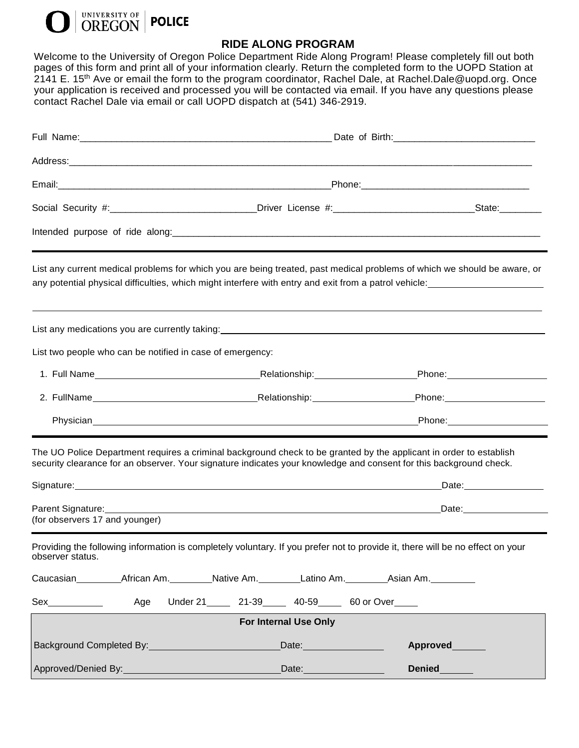

## **RIDE ALONG PROGRAM**

Welcome to the University of Oregon Police Department Ride Along Program! Please completely fill out both pages of this form and print all of your information clearly. Return the completed form to the UOPD Station at 2141 E. 15<sup>th</sup> Ave or email the form to the program coordinator, Rachel Dale, at Rachel Dale@uopd.org. Once your application is received and processed you will be contacted via email. If you have any questions please contact Rachel Dale via email or call UOPD dispatch at (541) 346-2919.

| Social Security #:_______________________________Driver License #:_______________________________State:_______                                                                                                                                   |                                 |                                                                                                                                                                                                                                                                                  |
|--------------------------------------------------------------------------------------------------------------------------------------------------------------------------------------------------------------------------------------------------|---------------------------------|----------------------------------------------------------------------------------------------------------------------------------------------------------------------------------------------------------------------------------------------------------------------------------|
|                                                                                                                                                                                                                                                  |                                 |                                                                                                                                                                                                                                                                                  |
| List any current medical problems for which you are being treated, past medical problems of which we should be aware, or<br>any potential physical difficulties, which might interfere with entry and exit from a patrol vehicle:<br>subsettion- |                                 |                                                                                                                                                                                                                                                                                  |
| List any medications you are currently taking:<br>entity and the content of the content of the content of the content of the content of the content of the content of the content of the content of the content of the content o                 |                                 |                                                                                                                                                                                                                                                                                  |
| List two people who can be notified in case of emergency:                                                                                                                                                                                        |                                 |                                                                                                                                                                                                                                                                                  |
|                                                                                                                                                                                                                                                  |                                 | 1. Full Name <b>Mame   1.</b> Full Name <b>1.</b> Full Name <b>1.</b> Full Name <b>1.</b> Full Name <b>1.</b> Full Name <b>1.</b> Full Name <b>1.</b> Full Name <b>1.</b> Full Name <b>1.</b> Full Name <b>1.</b> Full Name <b>1.</b> Full Name <b>1.</b> Full Name <b>1.</b> Fu |
|                                                                                                                                                                                                                                                  |                                 |                                                                                                                                                                                                                                                                                  |
|                                                                                                                                                                                                                                                  |                                 |                                                                                                                                                                                                                                                                                  |
| The UO Police Department requires a criminal background check to be granted by the applicant in order to establish<br>security clearance for an observer. Your signature indicates your knowledge and consent for this background check.         |                                 |                                                                                                                                                                                                                                                                                  |
| Parent Signature: 1997<br>(for observers 17 and younger)                                                                                                                                                                                         |                                 |                                                                                                                                                                                                                                                                                  |
| Providing the following information is completely voluntary. If you prefer not to provide it, there will be no effect on your<br>observer status.                                                                                                |                                 |                                                                                                                                                                                                                                                                                  |
|                                                                                                                                                                                                                                                  |                                 |                                                                                                                                                                                                                                                                                  |
| Sex_____________<br>Age                                                                                                                                                                                                                          | Under 21 21-39 40-59 60 or Over |                                                                                                                                                                                                                                                                                  |
| <b>For Internal Use Only</b>                                                                                                                                                                                                                     |                                 |                                                                                                                                                                                                                                                                                  |
| Background Completed By: North Completed By:                                                                                                                                                                                                     | Date: 2008                      | Approved                                                                                                                                                                                                                                                                         |
|                                                                                                                                                                                                                                                  | Date: <u>Date:</u>              | Denied <b>Name</b>                                                                                                                                                                                                                                                               |